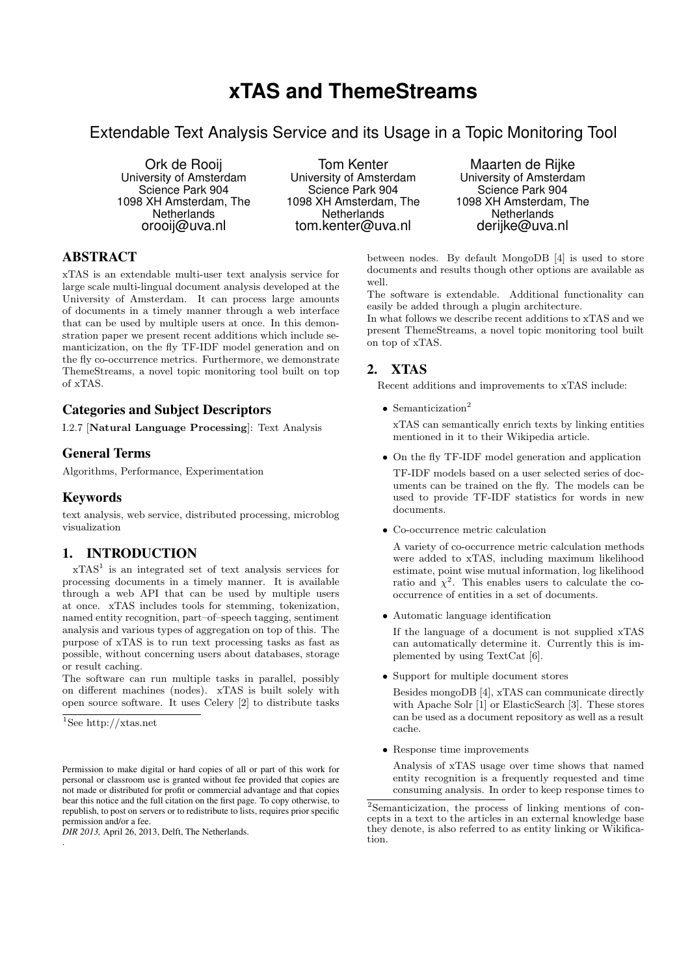# **xTAS and ThemeStreams**

# Extendable Text Analysis Service and its Usage in a Topic Monitoring Tool

Ork de Rooij University of Amsterdam Science Park 904 1098 XH Amsterdam, The **Netherlands** orooij@uva.nl

Tom Kenter University of Amsterdam Science Park 904 1098 XH Amsterdam, The **Netherlands** tom.kenter@uva.nl

Maarten de Rijke University of Amsterdam Science Park 904 1098 XH Amsterdam, The **Netherlands** derijke@uva.nl

## ABSTRACT

xTAS is an extendable multi-user text analysis service for large scale multi-lingual document analysis developed at the University of Amsterdam. It can process large amounts of documents in a timely manner through a web interface that can be used by multiple users at once. In this demonstration paper we present recent additions which include semanticization, on the fly TF-IDF model generation and on the fly co-occurrence metrics. Furthermore, we demonstrate ThemeStreams, a novel topic monitoring tool built on top of xTAS.

#### Categories and Subject Descriptors

I.2.7 [Natural Language Processing]: Text Analysis

#### General Terms

Algorithms, Performance, Experimentation

#### Keywords

text analysis, web service, distributed processing, microblog visualization

#### 1. INTRODUCTION

 $xTAS<sup>1</sup>$  is an integrated set of text analysis services for processing documents in a timely manner. It is available through a web API that can be used by multiple users at once. xTAS includes tools for stemming, tokenization, named entity recognition, part–of–speech tagging, sentiment analysis and various types of aggregation on top of this. The purpose of xTAS is to run text processing tasks as fast as possible, without concerning users about databases, storage or result caching.

The software can run multiple tasks in parallel, possibly on different machines (nodes). xTAS is built solely with open source software. It uses Celery [2] to distribute tasks

<sup>1</sup>See http://xtas.net

.

between nodes. By default MongoDB [4] is used to store documents and results though other options are available as well.

The software is extendable. Additional functionality can easily be added through a plugin architecture.

In what follows we describe recent additions to xTAS and we present ThemeStreams, a novel topic monitoring tool built on top of xTAS.

#### 2. XTAS

Recent additions and improvements to xTAS include:

• Semanticization<sup>2</sup>

xTAS can semantically enrich texts by linking entities mentioned in it to their Wikipedia article.

• On the fly TF-IDF model generation and application

TF-IDF models based on a user selected series of documents can be trained on the fly. The models can be used to provide TF-IDF statistics for words in new documents.

• Co-occurrence metric calculation

A variety of co-occurrence metric calculation methods were added to xTAS, including maximum likelihood estimate, point wise mutual information, log likelihood ratio and  $\chi^2$ . This enables users to calculate the cooccurrence of entities in a set of documents.

• Automatic language identification

If the language of a document is not supplied xTAS can automatically determine it. Currently this is implemented by using TextCat [6].

• Support for multiple document stores

Besides mongoDB [4], xTAS can communicate directly with Apache Solr [1] or ElasticSearch [3]. These stores can be used as a document repository as well as a result cache.

• Response time improvements

Analysis of xTAS usage over time shows that named entity recognition is a frequently requested and time consuming analysis. In order to keep response times to

Permission to make digital or hard copies of all or part of this work for personal or classroom use is granted without fee provided that copies are not made or distributed for profit or commercial advantage and that copies bear this notice and the full citation on the first page. To copy otherwise, to republish, to post on servers or to redistribute to lists, requires prior specific permission and/or a fee.

*DIR 2013,* April 26, 2013, Delft, The Netherlands.

<sup>2</sup>Semanticization, the process of linking mentions of concepts in a text to the articles in an external knowledge base they denote, is also referred to as entity linking or Wikification.